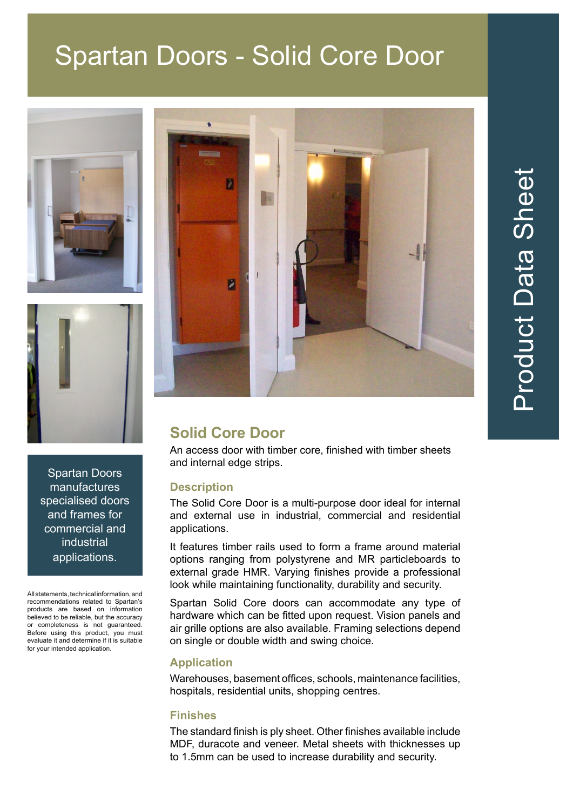## Spartan Doors - Solid Core Door





 $\bullet$ n Ž

## **Solid Core Door**

An access door with timber core, finished with timber sheets and internal edge strips.

### **Description**

The Solid Core Door is a multi-purpose door ideal for internal and external use in industrial, commercial and residential applications.

It features timber rails used to form a frame around material options ranging from polystyrene and MR particleboards to external grade HMR. Varying finishes provide a professional look while maintaining functionality, durability and security.

Spartan Solid Core doors can accommodate any type of hardware which can be fitted upon request. Vision panels and air grille options are also available. Framing selections depend on single or double width and swing choice.

#### **Application**

Warehouses, basement offices, schools, maintenance facilities, hospitals, residential units, shopping centres.

#### **Finishes**

The standard finish is ply sheet. Other finishes available include MDF, duracote and veneer. Metal sheets with thicknesses up to 1.5mm can be used to increase durability and security.



All statements, technical information, and recommendations related to Spartan's products are based on information believed to be reliable, but the accuracy or completeness is not guaranteed. Before using this product, you must evaluate it and determine if it is suitable for your intended application.